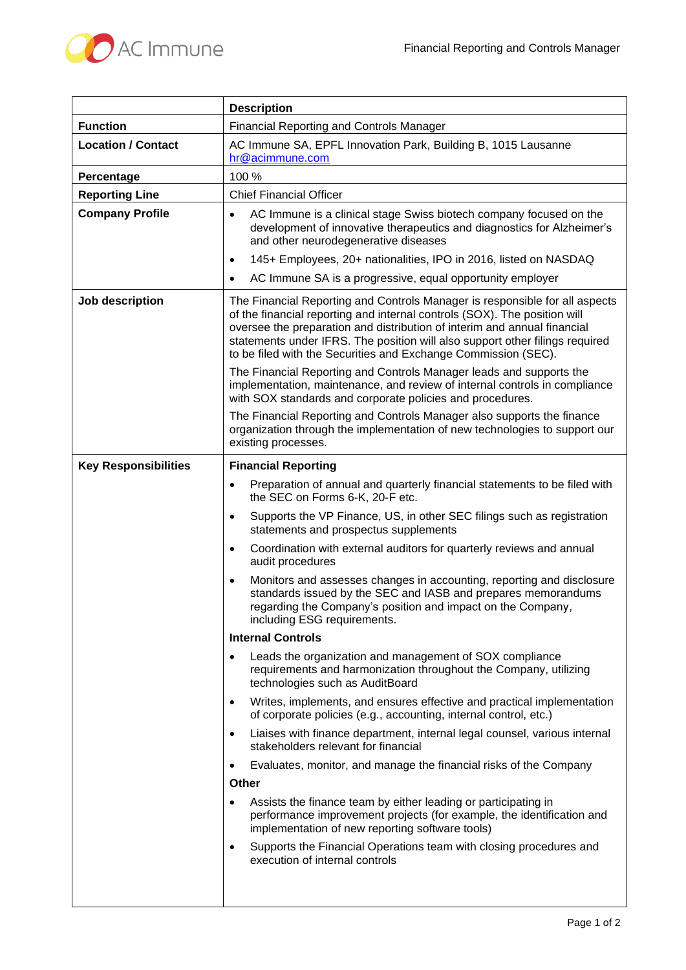

|                             | <b>Description</b>                                                                                                                                                                                                                                                                                                                                                                     |
|-----------------------------|----------------------------------------------------------------------------------------------------------------------------------------------------------------------------------------------------------------------------------------------------------------------------------------------------------------------------------------------------------------------------------------|
| <b>Function</b>             | <b>Financial Reporting and Controls Manager</b>                                                                                                                                                                                                                                                                                                                                        |
| <b>Location / Contact</b>   | AC Immune SA, EPFL Innovation Park, Building B, 1015 Lausanne<br>hr@acimmune.com                                                                                                                                                                                                                                                                                                       |
| Percentage                  | 100 %                                                                                                                                                                                                                                                                                                                                                                                  |
| <b>Reporting Line</b>       | <b>Chief Financial Officer</b>                                                                                                                                                                                                                                                                                                                                                         |
| <b>Company Profile</b>      | AC Immune is a clinical stage Swiss biotech company focused on the<br>$\bullet$<br>development of innovative therapeutics and diagnostics for Alzheimer's<br>and other neurodegenerative diseases                                                                                                                                                                                      |
|                             | 145+ Employees, 20+ nationalities, IPO in 2016, listed on NASDAQ<br>$\bullet$                                                                                                                                                                                                                                                                                                          |
|                             | AC Immune SA is a progressive, equal opportunity employer<br>$\bullet$                                                                                                                                                                                                                                                                                                                 |
| Job description             | The Financial Reporting and Controls Manager is responsible for all aspects<br>of the financial reporting and internal controls (SOX). The position will<br>oversee the preparation and distribution of interim and annual financial<br>statements under IFRS. The position will also support other filings required<br>to be filed with the Securities and Exchange Commission (SEC). |
|                             | The Financial Reporting and Controls Manager leads and supports the<br>implementation, maintenance, and review of internal controls in compliance<br>with SOX standards and corporate policies and procedures.                                                                                                                                                                         |
|                             | The Financial Reporting and Controls Manager also supports the finance<br>organization through the implementation of new technologies to support our<br>existing processes.                                                                                                                                                                                                            |
| <b>Key Responsibilities</b> | <b>Financial Reporting</b>                                                                                                                                                                                                                                                                                                                                                             |
|                             | Preparation of annual and quarterly financial statements to be filed with<br>$\bullet$<br>the SEC on Forms 6-K, 20-F etc.                                                                                                                                                                                                                                                              |
|                             | Supports the VP Finance, US, in other SEC filings such as registration<br>$\bullet$<br>statements and prospectus supplements                                                                                                                                                                                                                                                           |
|                             | Coordination with external auditors for quarterly reviews and annual<br>$\bullet$<br>audit procedures                                                                                                                                                                                                                                                                                  |
|                             | Monitors and assesses changes in accounting, reporting and disclosure<br>٠<br>standards issued by the SEC and IASB and prepares memorandums<br>regarding the Company's position and impact on the Company,<br>including ESG requirements.                                                                                                                                              |
|                             | <b>Internal Controls</b>                                                                                                                                                                                                                                                                                                                                                               |
|                             | Leads the organization and management of SOX compliance<br>٠<br>requirements and harmonization throughout the Company, utilizing<br>technologies such as AuditBoard                                                                                                                                                                                                                    |
|                             | Writes, implements, and ensures effective and practical implementation<br>$\bullet$<br>of corporate policies (e.g., accounting, internal control, etc.)                                                                                                                                                                                                                                |
|                             | Liaises with finance department, internal legal counsel, various internal<br>٠<br>stakeholders relevant for financial                                                                                                                                                                                                                                                                  |
|                             | Evaluates, monitor, and manage the financial risks of the Company<br>$\bullet$                                                                                                                                                                                                                                                                                                         |
|                             | <b>Other</b>                                                                                                                                                                                                                                                                                                                                                                           |
|                             | Assists the finance team by either leading or participating in<br>٠<br>performance improvement projects (for example, the identification and<br>implementation of new reporting software tools)                                                                                                                                                                                        |
|                             | Supports the Financial Operations team with closing procedures and<br>$\bullet$<br>execution of internal controls                                                                                                                                                                                                                                                                      |
|                             |                                                                                                                                                                                                                                                                                                                                                                                        |